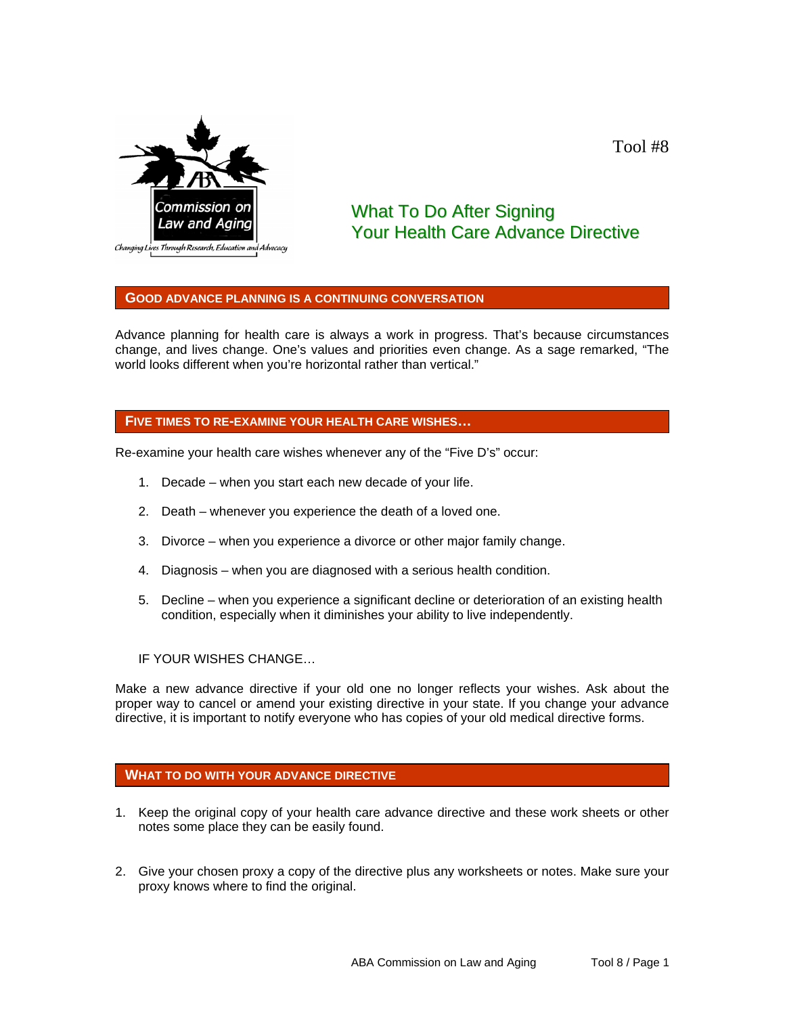

## Tool #8

# What To Do After Signing Your Health Care Advance Directive

#### **GOOD ADVANCE PLANNING IS A CONTINUING CONVERSATION**

Advance planning for health care is always a work in progress. That's because circumstances change, and lives change. One's values and priorities even change. As a sage remarked, "The world looks different when you're horizontal rather than vertical."

#### **FIVE TIMES TO RE-EXAMINE YOUR HEALTH CARE WISHES…**

Re-examine your health care wishes whenever any of the "Five D's" occur:

- 1. Decade when you start each new decade of your life.
- 2. Death whenever you experience the death of a loved one.
- 3. Divorce when you experience a divorce or other major family change.
- 4. Diagnosis when you are diagnosed with a serious health condition.
- 5. Decline when you experience a significant decline or deterioration of an existing health condition, especially when it diminishes your ability to live independently.
- IF YOUR WISHES CHANGE…

Make a new advance directive if your old one no longer reflects your wishes. Ask about the proper way to cancel or amend your existing directive in your state. If you change your advance directive, it is important to notify everyone who has copies of your old medical directive forms.

### **WHAT TO DO WITH YOUR ADVANCE DIRECTIVE**

- 1. Keep the original copy of your health care advance directive and these work sheets or other notes some place they can be easily found.
- 2. Give your chosen proxy a copy of the directive plus any worksheets or notes. Make sure your proxy knows where to find the original.